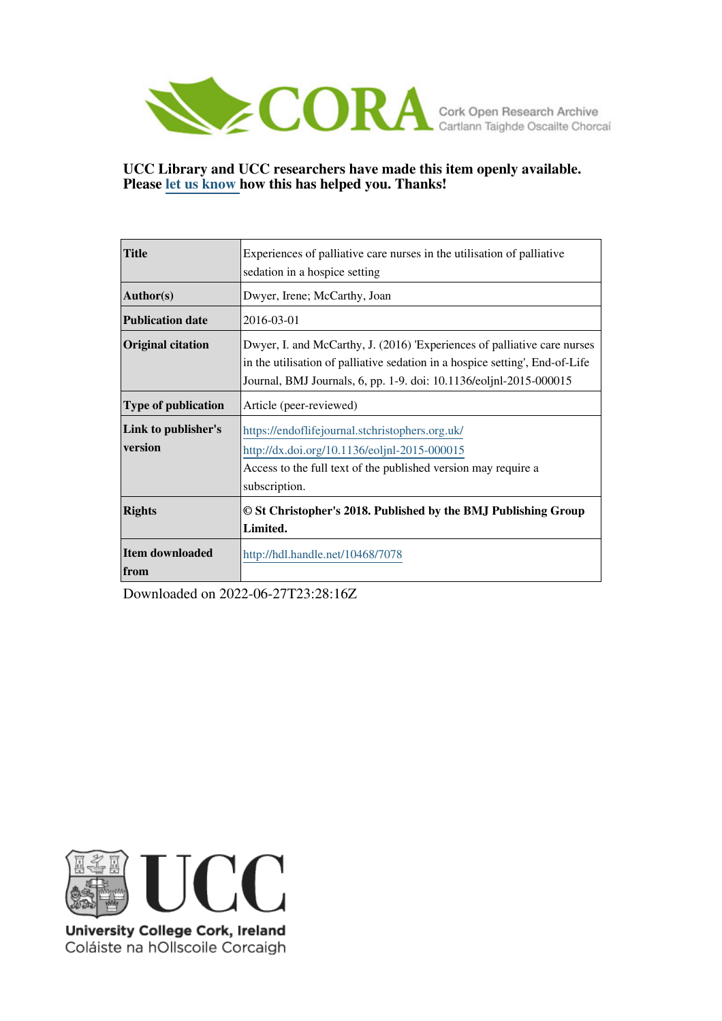

## **UCC Library and UCC researchers have made this item openly available. Please [let us know h](https://libguides.ucc.ie/openaccess/impact?suffix=7078&title=Experiences of palliative care nurses in the utilisation of palliative sedation in a hospice setting)ow this has helped you. Thanks!**

| <b>Title</b>               | Experiences of palliative care nurses in the utilisation of palliative       |
|----------------------------|------------------------------------------------------------------------------|
|                            | sedation in a hospice setting                                                |
| Author(s)                  | Dwyer, Irene; McCarthy, Joan                                                 |
| <b>Publication date</b>    | 2016-03-01                                                                   |
| <b>Original citation</b>   | Dwyer, I. and McCarthy, J. (2016) 'Experiences of palliative care nurses     |
|                            | in the utilisation of palliative sedation in a hospice setting', End-of-Life |
|                            | Journal, BMJ Journals, 6, pp. 1-9. doi: 10.1136/eoljnl-2015-000015           |
| <b>Type of publication</b> | Article (peer-reviewed)                                                      |
| Link to publisher's        | https://endoflifejournal.stchristophers.org.uk/                              |
| version                    | http://dx.doi.org/10.1136/eoljnl-2015-000015                                 |
|                            | Access to the full text of the published version may require a               |
|                            | subscription.                                                                |
| <b>Rights</b>              | © St Christopher's 2018. Published by the BMJ Publishing Group               |
|                            | Limited.                                                                     |
| <b>Item downloaded</b>     | http://hdl.handle.net/10468/7078                                             |
| from                       |                                                                              |

Downloaded on 2022-06-27T23:28:16Z



University College Cork, Ireland Coláiste na hOllscoile Corcaigh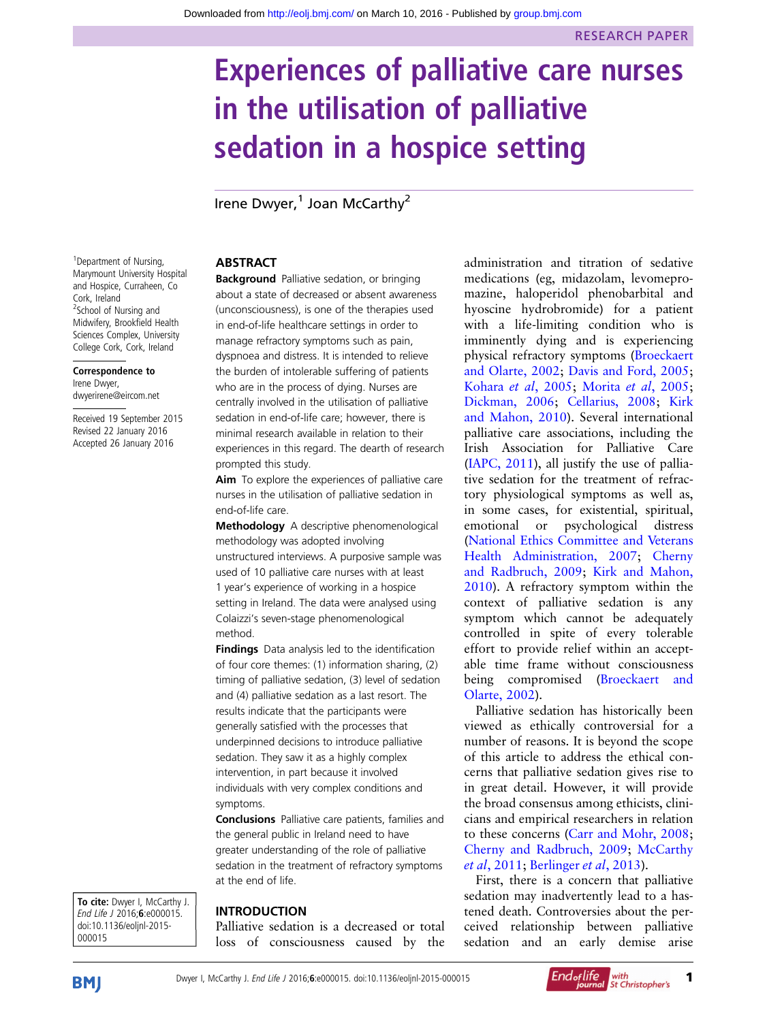# Experiences of palliative care nurses in the utilisation of palliative sedation in a hospice setting

Irene Dwyer, $1$  Joan McCarthy<sup>2</sup>

## ABSTRACT

**Background** Palliative sedation, or bringing about a state of decreased or absent awareness (unconsciousness), is one of the therapies used in end-of-life healthcare settings in order to manage refractory symptoms such as pain, dyspnoea and distress. It is intended to relieve the burden of intolerable suffering of patients who are in the process of dying. Nurses are centrally involved in the utilisation of palliative sedation in end-of-life care; however, there is minimal research available in relation to their experiences in this regard. The dearth of research prompted this study.

Aim To explore the experiences of palliative care nurses in the utilisation of palliative sedation in end-of-life care.

Methodology A descriptive phenomenological methodology was adopted involving unstructured interviews. A purposive sample was used of 10 palliative care nurses with at least 1 year's experience of working in a hospice setting in Ireland. The data were analysed using Colaizzi's seven-stage phenomenological method.

**Findings** Data analysis led to the identification of four core themes: (1) information sharing, (2) timing of palliative sedation, (3) level of sedation and (4) palliative sedation as a last resort. The results indicate that the participants were generally satisfied with the processes that underpinned decisions to introduce palliative sedation. They saw it as a highly complex intervention, in part because it involved individuals with very complex conditions and symptoms.

Conclusions Palliative care patients, families and the general public in Ireland need to have greater understanding of the role of palliative sedation in the treatment of refractory symptoms at the end of life.

## INTRODUCTION

Palliative sedation is a decreased or total loss of consciousness caused by the administration and titration of sedative medications (eg, midazolam, levomepromazine, haloperidol phenobarbital and hyoscine hydrobromide) for a patient with a life-limiting condition who is imminently dying and is experiencing physical refractory symptoms ([Broeckaert](#page-8-0) [and Olarte, 2002;](#page-8-0) [Davis and Ford, 2005](#page-8-0); [Kohara](#page-9-0) et al, 2005; [Morita](#page-9-0) et al, 2005; [Dickman, 2006;](#page-8-0) [Cellarius, 2008;](#page-8-0) [Kirk](#page-8-0) [and Mahon, 2010](#page-8-0)). Several international palliative care associations, including the Irish Association for Palliative Care ([IAPC, 2011\)](#page-8-0), all justify the use of palliative sedation for the treatment of refractory physiological symptoms as well as, in some cases, for existential, spiritual, emotional or psychological distress ([National Ethics Committee and Veterans](#page-9-0) [Health Administration, 2007;](#page-9-0) [Cherny](#page-8-0) [and Radbruch, 2009](#page-8-0); [Kirk and Mahon,](#page-8-0) [2010\)](#page-8-0). A refractory symptom within the context of palliative sedation is any symptom which cannot be adequately controlled in spite of every tolerable effort to provide relief within an acceptable time frame without consciousness being compromised [\(Broeckaert and](#page-8-0) [Olarte, 2002\)](#page-8-0).

Palliative sedation has historically been viewed as ethically controversial for a number of reasons. It is beyond the scope of this article to address the ethical concerns that palliative sedation gives rise to in great detail. However, it will provide the broad consensus among ethicists, clinicians and empirical researchers in relation to these concerns ([Carr and Mohr, 2008](#page-8-0); [Cherny and Radbruch, 2009](#page-8-0); [McCarthy](#page-9-0) et al[, 2011;](#page-9-0) [Berlinger](#page-8-0) et al, 2013).

First, there is a concern that palliative sedation may inadvertently lead to a hastened death. Controversies about the perceived relationship between palliative sedation and an early demise arise

<sup>1</sup> Department of Nursing, Marymount University Hospital and Hospice, Curraheen, Co Cork, Ireland <sup>2</sup>School of Nursing and Midwifery, Brookfield Health Sciences Complex, University College Cork, Cork, Ireland

Correspondence to Irene Dwyer, dwyerirene@eircom.net

Received 19 September 2015 Revised 22 January 2016 Accepted 26 January 2016

To cite: Dwyer I, McCarthy J. End Life J 2016;6:e000015. doi:10.1136/eoljnl-2015- 000015



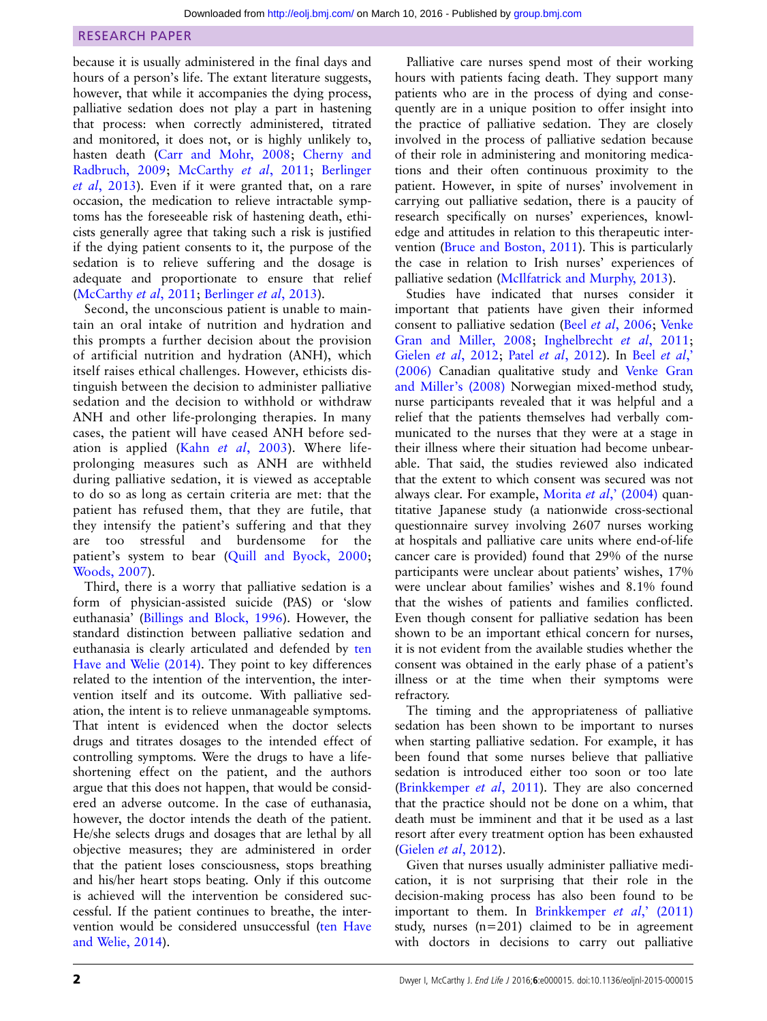because it is usually administered in the final days and hours of a person's life. The extant literature suggests, however, that while it accompanies the dying process, palliative sedation does not play a part in hastening that process: when correctly administered, titrated and monitored, it does not, or is highly unlikely to, hasten death ([Carr and Mohr, 2008;](#page-8-0) [Cherny and](#page-8-0) [Radbruch, 2009](#page-8-0); [McCarthy](#page-9-0) et al, 2011; [Berlinger](#page-8-0) et al[, 2013](#page-8-0)). Even if it were granted that, on a rare occasion, the medication to relieve intractable symptoms has the foreseeable risk of hastening death, ethicists generally agree that taking such a risk is justified if the dying patient consents to it, the purpose of the sedation is to relieve suffering and the dosage is adequate and proportionate to ensure that relief ([McCarthy](#page-9-0) *et al*, 2011; [Berlinger](#page-8-0) *et al*, 2013).

Second, the unconscious patient is unable to maintain an oral intake of nutrition and hydration and this prompts a further decision about the provision of artificial nutrition and hydration (ANH), which itself raises ethical challenges. However, ethicists distinguish between the decision to administer palliative sedation and the decision to withhold or withdraw ANH and other life-prolonging therapies. In many cases, the patient will have ceased ANH before sedation is applied (Kahn et al,  $2003$ ). Where lifeprolonging measures such as ANH are withheld during palliative sedation, it is viewed as acceptable to do so as long as certain criteria are met: that the patient has refused them, that they are futile, that they intensify the patient's suffering and that they are too stressful and burdensome for the patient's system to bear ([Quill and Byock, 2000](#page-9-0); [Woods, 2007\)](#page-9-0).

Third, there is a worry that palliative sedation is a form of physician-assisted suicide (PAS) or 'slow euthanasia' [\(Billings and Block, 1996\)](#page-8-0). However, the standard distinction between palliative sedation and euthanasia is clearly articulated and defended by [ten](#page-9-0) [Have and Welie \(2014\)](#page-9-0). They point to key differences related to the intention of the intervention, the intervention itself and its outcome. With palliative sedation, the intent is to relieve unmanageable symptoms. That intent is evidenced when the doctor selects drugs and titrates dosages to the intended effect of controlling symptoms. Were the drugs to have a lifeshortening effect on the patient, and the authors argue that this does not happen, that would be considered an adverse outcome. In the case of euthanasia, however, the doctor intends the death of the patient. He/she selects drugs and dosages that are lethal by all objective measures; they are administered in order that the patient loses consciousness, stops breathing and his/her heart stops beating. Only if this outcome is achieved will the intervention be considered successful. If the patient continues to breathe, the intervention would be considered unsuccessful ([ten Have](#page-9-0) [and Welie, 2014](#page-9-0)).

Palliative care nurses spend most of their working hours with patients facing death. They support many patients who are in the process of dying and consequently are in a unique position to offer insight into the practice of palliative sedation. They are closely involved in the process of palliative sedation because of their role in administering and monitoring medications and their often continuous proximity to the patient. However, in spite of nurses' involvement in carrying out palliative sedation, there is a paucity of research specifically on nurses' experiences, knowledge and attitudes in relation to this therapeutic intervention [\(Bruce and Boston, 2011](#page-8-0)). This is particularly the case in relation to Irish nurses' experiences of palliative sedation ([McIlfatrick and Murphy, 2013](#page-9-0)).

Studies have indicated that nurses consider it important that patients have given their informed consent to palliative sedation (Beel et al[, 2006;](#page-8-0) [Venke](#page-9-0) [Gran and Miller, 2008](#page-9-0); [Inghelbrecht](#page-8-0) et al, 2011; Gielen et al[, 2012;](#page-8-0) Patel et al[, 2012\)](#page-9-0). In Beel [et al](#page-8-0), [\(2006\)](#page-8-0) Canadian qualitative study and [Venke Gran](#page-9-0) [and Miller](#page-9-0)'s (2008) Norwegian mixed-method study, nurse participants revealed that it was helpful and a relief that the patients themselves had verbally communicated to the nurses that they were at a stage in their illness where their situation had become unbearable. That said, the studies reviewed also indicated that the extent to which consent was secured was not always clear. For example, [Morita](#page-9-0) et al,' (2004) quantitative Japanese study (a nationwide cross-sectional questionnaire survey involving 2607 nurses working at hospitals and palliative care units where end-of-life cancer care is provided) found that 29% of the nurse participants were unclear about patients' wishes, 17% were unclear about families' wishes and 8.1% found that the wishes of patients and families conflicted. Even though consent for palliative sedation has been shown to be an important ethical concern for nurses, it is not evident from the available studies whether the consent was obtained in the early phase of a patient's illness or at the time when their symptoms were refractory.

The timing and the appropriateness of palliative sedation has been shown to be important to nurses when starting palliative sedation. For example, it has been found that some nurses believe that palliative sedation is introduced either too soon or too late ([Brinkkemper](#page-8-0) et al, 2011). They are also concerned that the practice should not be done on a whim, that death must be imminent and that it be used as a last resort after every treatment option has been exhausted (Gielen et al[, 2012](#page-8-0)).

Given that nurses usually administer palliative medication, it is not surprising that their role in the decision-making process has also been found to be important to them. In [Brinkkemper](#page-8-0) et al,'  $(2011)$ study, nurses (n=201) claimed to be in agreement with doctors in decisions to carry out palliative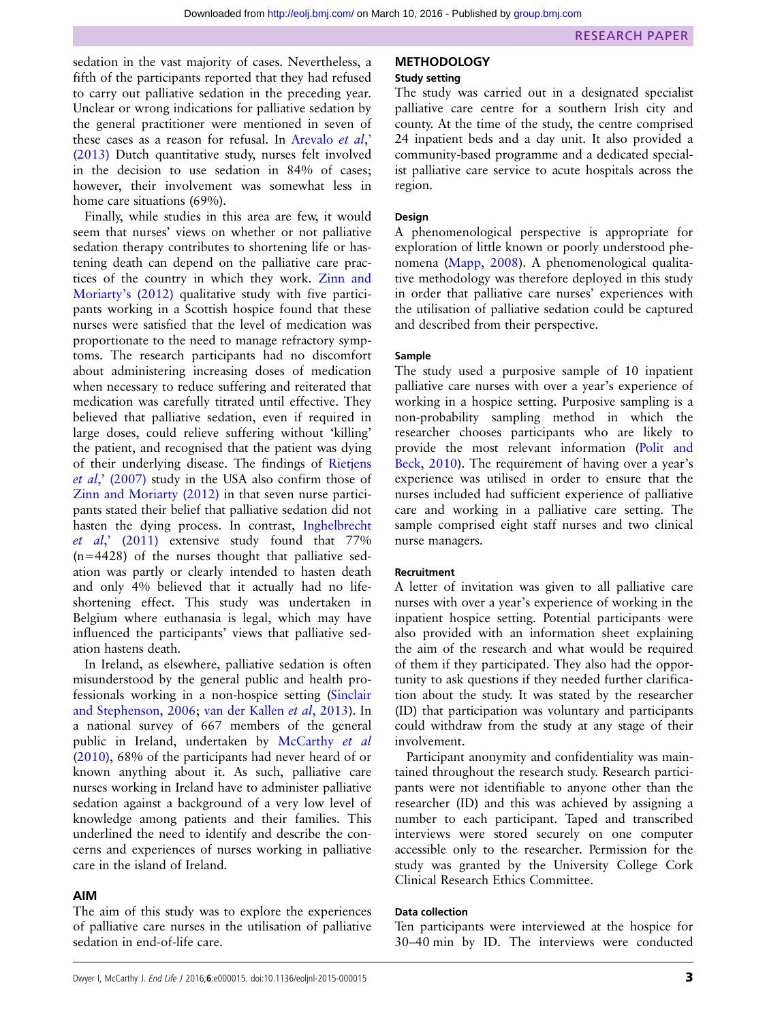sedation in the vast majority of cases. Nevertheless, a fifth of the participants reported that they had refused to carry out palliative sedation in the preceding year. Unclear or wrong indications for palliative sedation by the general practitioner were mentioned in seven of these cases as a reason for refusal. In [Arevalo](#page-8-0) et al, [\(2013\)](#page-8-0) Dutch quantitative study, nurses felt involved in the decision to use sedation in 84% of cases; however, their involvement was somewhat less in home care situations (69%).

Finally, while studies in this area are few, it would seem that nurses' views on whether or not palliative sedation therapy contributes to shortening life or hastening death can depend on the palliative care practices of the country in which they work. [Zinn and](#page-9-0) [Moriarty](#page-9-0)'s (2012) qualitative study with five participants working in a Scottish hospice found that these nurses were satisfied that the level of medication was proportionate to the need to manage refractory symptoms. The research participants had no discomfort about administering increasing doses of medication when necessary to reduce suffering and reiterated that medication was carefully titrated until effective. They believed that palliative sedation, even if required in large doses, could relieve suffering without 'killing' the patient, and recognised that the patient was dying of their underlying disease. The findings of [Rietjens](#page-9-0) et al,' [\(2007\)](#page-9-0) study in the USA also confirm those of [Zinn and Moriarty \(2012\)](#page-9-0) in that seven nurse participants stated their belief that palliative sedation did not hasten the dying process. In contrast, [Inghelbrecht](#page-8-0) et al,' [\(2011\)](#page-8-0) extensive study found that 77%  $(n=4428)$  of the nurses thought that palliative sedation was partly or clearly intended to hasten death and only 4% believed that it actually had no lifeshortening effect. This study was undertaken in Belgium where euthanasia is legal, which may have influenced the participants' views that palliative sedation hastens death.

In Ireland, as elsewhere, palliative sedation is often misunderstood by the general public and health professionals working in a non-hospice setting [\(Sinclair](#page-9-0) [and Stephenson, 2006](#page-9-0); [van der Kallen](#page-9-0) et al, 2013). In a national survey of 667 members of the general public in Ireland, undertaken by [McCarthy](#page-9-0) et al [\(2010\)](#page-9-0), 68% of the participants had never heard of or known anything about it. As such, palliative care nurses working in Ireland have to administer palliative sedation against a background of a very low level of knowledge among patients and their families. This underlined the need to identify and describe the concerns and experiences of nurses working in palliative care in the island of Ireland.

#### AIM

The aim of this study was to explore the experiences of palliative care nurses in the utilisation of palliative sedation in end-of-life care.

## **METHODOLOGY**

#### Study setting

The study was carried out in a designated specialist palliative care centre for a southern Irish city and county. At the time of the study, the centre comprised 24 inpatient beds and a day unit. It also provided a community-based programme and a dedicated specialist palliative care service to acute hospitals across the region.

#### Design

A phenomenological perspective is appropriate for exploration of little known or poorly understood phenomena [\(Mapp, 2008\)](#page-9-0). A phenomenological qualitative methodology was therefore deployed in this study in order that palliative care nurses' experiences with the utilisation of palliative sedation could be captured and described from their perspective.

#### Sample

The study used a purposive sample of 10 inpatient palliative care nurses with over a year's experience of working in a hospice setting. Purposive sampling is a non-probability sampling method in which the researcher chooses participants who are likely to provide the most relevant information ([Polit and](#page-9-0) [Beck, 2010](#page-9-0)). The requirement of having over a year's experience was utilised in order to ensure that the nurses included had sufficient experience of palliative care and working in a palliative care setting. The sample comprised eight staff nurses and two clinical nurse managers.

## Recruitment

A letter of invitation was given to all palliative care nurses with over a year's experience of working in the inpatient hospice setting. Potential participants were also provided with an information sheet explaining the aim of the research and what would be required of them if they participated. They also had the opportunity to ask questions if they needed further clarification about the study. It was stated by the researcher (ID) that participation was voluntary and participants could withdraw from the study at any stage of their involvement.

Participant anonymity and confidentiality was maintained throughout the research study. Research participants were not identifiable to anyone other than the researcher (ID) and this was achieved by assigning a number to each participant. Taped and transcribed interviews were stored securely on one computer accessible only to the researcher. Permission for the study was granted by the University College Cork Clinical Research Ethics Committee.

#### Data collection

Ten participants were interviewed at the hospice for 30–40 min by ID. The interviews were conducted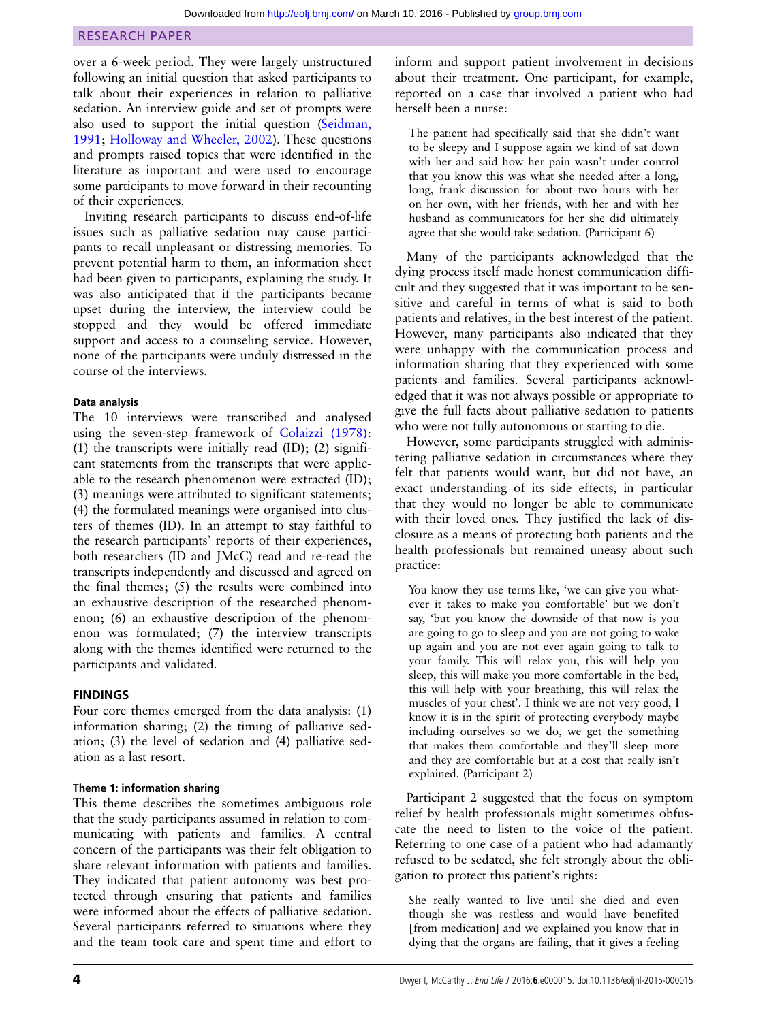over a 6-week period. They were largely unstructured following an initial question that asked participants to talk about their experiences in relation to palliative sedation. An interview guide and set of prompts were also used to support the initial question ([Seidman,](#page-9-0) [1991;](#page-9-0) [Holloway and Wheeler, 2002\)](#page-8-0). These questions and prompts raised topics that were identified in the literature as important and were used to encourage some participants to move forward in their recounting of their experiences.

Inviting research participants to discuss end-of-life issues such as palliative sedation may cause participants to recall unpleasant or distressing memories. To prevent potential harm to them, an information sheet had been given to participants, explaining the study. It was also anticipated that if the participants became upset during the interview, the interview could be stopped and they would be offered immediate support and access to a counseling service. However, none of the participants were unduly distressed in the course of the interviews.

#### Data analysis

The 10 interviews were transcribed and analysed using the seven-step framework of [Colaizzi \(1978\)](#page-8-0): (1) the transcripts were initially read (ID); (2) significant statements from the transcripts that were applicable to the research phenomenon were extracted (ID); (3) meanings were attributed to significant statements; (4) the formulated meanings were organised into clusters of themes (ID). In an attempt to stay faithful to the research participants' reports of their experiences, both researchers (ID and JMcC) read and re-read the transcripts independently and discussed and agreed on the final themes; (5) the results were combined into an exhaustive description of the researched phenomenon; (6) an exhaustive description of the phenomenon was formulated; (7) the interview transcripts along with the themes identified were returned to the participants and validated.

## FINDINGS

Four core themes emerged from the data analysis: (1) information sharing; (2) the timing of palliative sedation; (3) the level of sedation and (4) palliative sedation as a last resort.

## Theme 1: information sharing

This theme describes the sometimes ambiguous role that the study participants assumed in relation to communicating with patients and families. A central concern of the participants was their felt obligation to share relevant information with patients and families. They indicated that patient autonomy was best protected through ensuring that patients and families were informed about the effects of palliative sedation. Several participants referred to situations where they and the team took care and spent time and effort to

inform and support patient involvement in decisions about their treatment. One participant, for example, reported on a case that involved a patient who had herself been a nurse:

The patient had specifically said that she didn't want to be sleepy and I suppose again we kind of sat down with her and said how her pain wasn't under control that you know this was what she needed after a long, long, frank discussion for about two hours with her on her own, with her friends, with her and with her husband as communicators for her she did ultimately agree that she would take sedation. (Participant 6)

Many of the participants acknowledged that the dying process itself made honest communication difficult and they suggested that it was important to be sensitive and careful in terms of what is said to both patients and relatives, in the best interest of the patient. However, many participants also indicated that they were unhappy with the communication process and information sharing that they experienced with some patients and families. Several participants acknowledged that it was not always possible or appropriate to give the full facts about palliative sedation to patients who were not fully autonomous or starting to die.

However, some participants struggled with administering palliative sedation in circumstances where they felt that patients would want, but did not have, an exact understanding of its side effects, in particular that they would no longer be able to communicate with their loved ones. They justified the lack of disclosure as a means of protecting both patients and the health professionals but remained uneasy about such practice:

You know they use terms like, 'we can give you whatever it takes to make you comfortable' but we don't say, 'but you know the downside of that now is you are going to go to sleep and you are not going to wake up again and you are not ever again going to talk to your family. This will relax you, this will help you sleep, this will make you more comfortable in the bed, this will help with your breathing, this will relax the muscles of your chest'. I think we are not very good, I know it is in the spirit of protecting everybody maybe including ourselves so we do, we get the something that makes them comfortable and they'll sleep more and they are comfortable but at a cost that really isn't explained. (Participant 2)

Participant 2 suggested that the focus on symptom relief by health professionals might sometimes obfuscate the need to listen to the voice of the patient. Referring to one case of a patient who had adamantly refused to be sedated, she felt strongly about the obligation to protect this patient's rights:

She really wanted to live until she died and even though she was restless and would have benefited [from medication] and we explained you know that in dying that the organs are failing, that it gives a feeling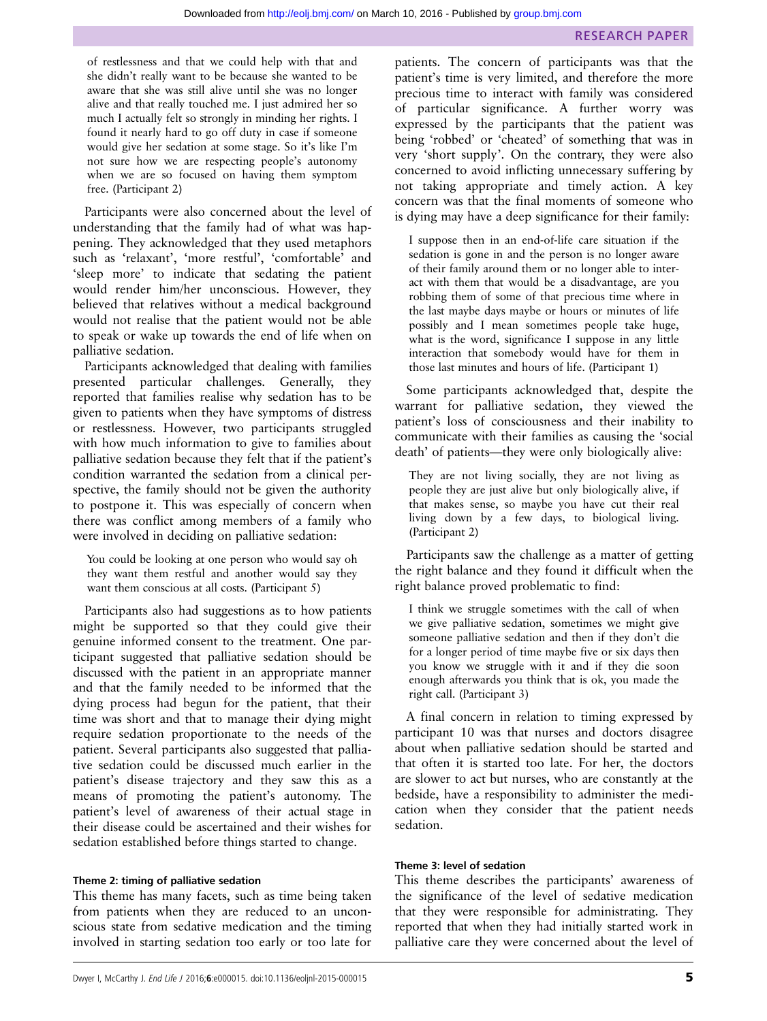of restlessness and that we could help with that and she didn't really want to be because she wanted to be aware that she was still alive until she was no longer alive and that really touched me. I just admired her so much I actually felt so strongly in minding her rights. I found it nearly hard to go off duty in case if someone would give her sedation at some stage. So it's like I'm not sure how we are respecting people's autonomy when we are so focused on having them symptom free. (Participant 2)

Participants were also concerned about the level of understanding that the family had of what was happening. They acknowledged that they used metaphors such as 'relaxant', 'more restful', 'comfortable' and 'sleep more' to indicate that sedating the patient would render him/her unconscious. However, they believed that relatives without a medical background would not realise that the patient would not be able to speak or wake up towards the end of life when on palliative sedation.

Participants acknowledged that dealing with families presented particular challenges. Generally, they reported that families realise why sedation has to be given to patients when they have symptoms of distress or restlessness. However, two participants struggled with how much information to give to families about palliative sedation because they felt that if the patient's condition warranted the sedation from a clinical perspective, the family should not be given the authority to postpone it. This was especially of concern when there was conflict among members of a family who were involved in deciding on palliative sedation:

You could be looking at one person who would say oh they want them restful and another would say they want them conscious at all costs. (Participant 5)

Participants also had suggestions as to how patients might be supported so that they could give their genuine informed consent to the treatment. One participant suggested that palliative sedation should be discussed with the patient in an appropriate manner and that the family needed to be informed that the dying process had begun for the patient, that their time was short and that to manage their dying might require sedation proportionate to the needs of the patient. Several participants also suggested that palliative sedation could be discussed much earlier in the patient's disease trajectory and they saw this as a means of promoting the patient's autonomy. The patient's level of awareness of their actual stage in their disease could be ascertained and their wishes for sedation established before things started to change.

#### Theme 2: timing of palliative sedation

This theme has many facets, such as time being taken from patients when they are reduced to an unconscious state from sedative medication and the timing involved in starting sedation too early or too late for

patients. The concern of participants was that the patient's time is very limited, and therefore the more precious time to interact with family was considered of particular significance. A further worry was expressed by the participants that the patient was being 'robbed' or 'cheated' of something that was in very 'short supply'. On the contrary, they were also concerned to avoid inflicting unnecessary suffering by not taking appropriate and timely action. A key concern was that the final moments of someone who is dying may have a deep significance for their family:

I suppose then in an end-of-life care situation if the sedation is gone in and the person is no longer aware of their family around them or no longer able to interact with them that would be a disadvantage, are you robbing them of some of that precious time where in the last maybe days maybe or hours or minutes of life possibly and I mean sometimes people take huge, what is the word, significance I suppose in any little interaction that somebody would have for them in those last minutes and hours of life. (Participant 1)

Some participants acknowledged that, despite the warrant for palliative sedation, they viewed the patient's loss of consciousness and their inability to communicate with their families as causing the 'social death' of patients—they were only biologically alive:

They are not living socially, they are not living as people they are just alive but only biologically alive, if that makes sense, so maybe you have cut their real living down by a few days, to biological living. (Participant 2)

Participants saw the challenge as a matter of getting the right balance and they found it difficult when the right balance proved problematic to find:

I think we struggle sometimes with the call of when we give palliative sedation, sometimes we might give someone palliative sedation and then if they don't die for a longer period of time maybe five or six days then you know we struggle with it and if they die soon enough afterwards you think that is ok, you made the right call. (Participant 3)

A final concern in relation to timing expressed by participant 10 was that nurses and doctors disagree about when palliative sedation should be started and that often it is started too late. For her, the doctors are slower to act but nurses, who are constantly at the bedside, have a responsibility to administer the medication when they consider that the patient needs sedation.

## Theme 3: level of sedation

This theme describes the participants' awareness of the significance of the level of sedative medication that they were responsible for administrating. They reported that when they had initially started work in palliative care they were concerned about the level of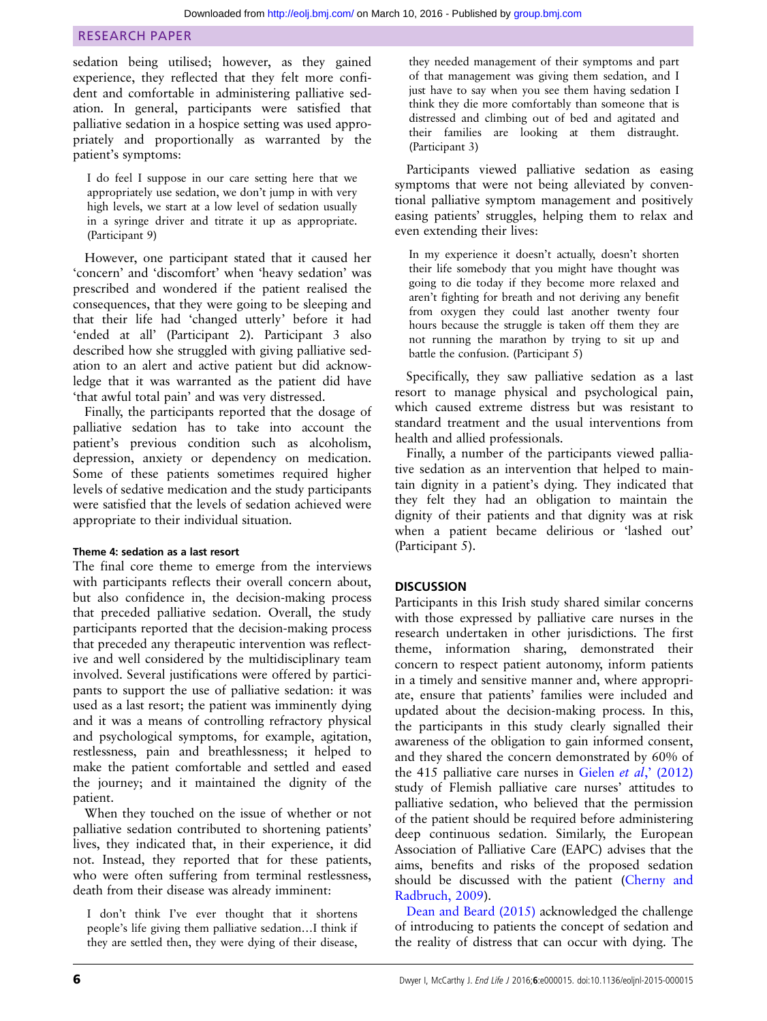sedation being utilised; however, as they gained experience, they reflected that they felt more confident and comfortable in administering palliative sedation. In general, participants were satisfied that palliative sedation in a hospice setting was used appropriately and proportionally as warranted by the patient's symptoms:

I do feel I suppose in our care setting here that we appropriately use sedation, we don't jump in with very high levels, we start at a low level of sedation usually in a syringe driver and titrate it up as appropriate. (Participant 9)

However, one participant stated that it caused her 'concern' and 'discomfort' when 'heavy sedation' was prescribed and wondered if the patient realised the consequences, that they were going to be sleeping and that their life had 'changed utterly' before it had 'ended at all' (Participant 2). Participant 3 also described how she struggled with giving palliative sedation to an alert and active patient but did acknowledge that it was warranted as the patient did have 'that awful total pain' and was very distressed.

Finally, the participants reported that the dosage of palliative sedation has to take into account the patient's previous condition such as alcoholism, depression, anxiety or dependency on medication. Some of these patients sometimes required higher levels of sedative medication and the study participants were satisfied that the levels of sedation achieved were appropriate to their individual situation.

## Theme 4: sedation as a last resort

The final core theme to emerge from the interviews with participants reflects their overall concern about, but also confidence in, the decision-making process that preceded palliative sedation. Overall, the study participants reported that the decision-making process that preceded any therapeutic intervention was reflective and well considered by the multidisciplinary team involved. Several justifications were offered by participants to support the use of palliative sedation: it was used as a last resort; the patient was imminently dying and it was a means of controlling refractory physical and psychological symptoms, for example, agitation, restlessness, pain and breathlessness; it helped to make the patient comfortable and settled and eased the journey; and it maintained the dignity of the patient.

When they touched on the issue of whether or not palliative sedation contributed to shortening patients' lives, they indicated that, in their experience, it did not. Instead, they reported that for these patients, who were often suffering from terminal restlessness, death from their disease was already imminent:

I don't think I've ever thought that it shortens people's life giving them palliative sedation…I think if they are settled then, they were dying of their disease, they needed management of their symptoms and part of that management was giving them sedation, and I just have to say when you see them having sedation I think they die more comfortably than someone that is distressed and climbing out of bed and agitated and their families are looking at them distraught. (Participant 3)

Participants viewed palliative sedation as easing symptoms that were not being alleviated by conventional palliative symptom management and positively easing patients' struggles, helping them to relax and even extending their lives:

In my experience it doesn't actually, doesn't shorten their life somebody that you might have thought was going to die today if they become more relaxed and aren't fighting for breath and not deriving any benefit from oxygen they could last another twenty four hours because the struggle is taken off them they are not running the marathon by trying to sit up and battle the confusion. (Participant 5)

Specifically, they saw palliative sedation as a last resort to manage physical and psychological pain, which caused extreme distress but was resistant to standard treatment and the usual interventions from health and allied professionals.

Finally, a number of the participants viewed palliative sedation as an intervention that helped to maintain dignity in a patient's dying. They indicated that they felt they had an obligation to maintain the dignity of their patients and that dignity was at risk when a patient became delirious or 'lashed out' (Participant 5).

## **DISCUSSION**

Participants in this Irish study shared similar concerns with those expressed by palliative care nurses in the research undertaken in other jurisdictions. The first theme, information sharing, demonstrated their concern to respect patient autonomy, inform patients in a timely and sensitive manner and, where appropriate, ensure that patients' families were included and updated about the decision-making process. In this, the participants in this study clearly signalled their awareness of the obligation to gain informed consent, and they shared the concern demonstrated by 60% of the 415 palliative care nurses in Gielen *et al*,  $(2012)$ study of Flemish palliative care nurses' attitudes to palliative sedation, who believed that the permission of the patient should be required before administering deep continuous sedation. Similarly, the European Association of Palliative Care (EAPC) advises that the aims, benefits and risks of the proposed sedation should be discussed with the patient ([Cherny and](#page-8-0) [Radbruch, 2009\)](#page-8-0).

[Dean and Beard \(2015\)](#page-8-0) acknowledged the challenge of introducing to patients the concept of sedation and the reality of distress that can occur with dying. The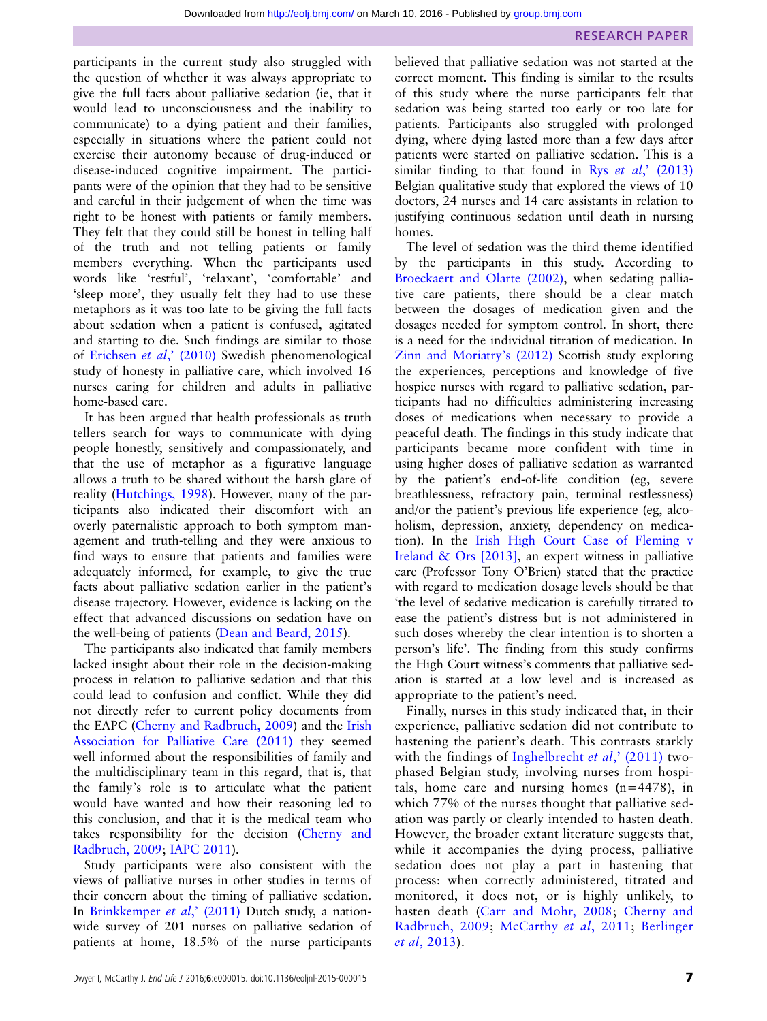participants in the current study also struggled with the question of whether it was always appropriate to give the full facts about palliative sedation (ie, that it would lead to unconsciousness and the inability to communicate) to a dying patient and their families, especially in situations where the patient could not exercise their autonomy because of drug-induced or disease-induced cognitive impairment. The participants were of the opinion that they had to be sensitive and careful in their judgement of when the time was right to be honest with patients or family members. They felt that they could still be honest in telling half of the truth and not telling patients or family members everything. When the participants used words like 'restful', 'relaxant', 'comfortable' and 'sleep more', they usually felt they had to use these metaphors as it was too late to be giving the full facts about sedation when a patient is confused, agitated and starting to die. Such findings are similar to those of [Erichsen](#page-8-0) et al,' (2010) Swedish phenomenological study of honesty in palliative care, which involved 16 nurses caring for children and adults in palliative home-based care.

It has been argued that health professionals as truth tellers search for ways to communicate with dying people honestly, sensitively and compassionately, and that the use of metaphor as a figurative language allows a truth to be shared without the harsh glare of reality ([Hutchings, 1998\)](#page-8-0). However, many of the participants also indicated their discomfort with an overly paternalistic approach to both symptom management and truth-telling and they were anxious to find ways to ensure that patients and families were adequately informed, for example, to give the true facts about palliative sedation earlier in the patient's disease trajectory. However, evidence is lacking on the effect that advanced discussions on sedation have on the well-being of patients [\(Dean and Beard, 2015\)](#page-8-0).

The participants also indicated that family members lacked insight about their role in the decision-making process in relation to palliative sedation and that this could lead to confusion and conflict. While they did not directly refer to current policy documents from the EAPC [\(Cherny and Radbruch, 2009\)](#page-8-0) and the [Irish](#page-8-0) [Association for Palliative Care \(2011\)](#page-8-0) they seemed well informed about the responsibilities of family and the multidisciplinary team in this regard, that is, that the family's role is to articulate what the patient would have wanted and how their reasoning led to this conclusion, and that it is the medical team who takes responsibility for the decision [\(Cherny and](#page-8-0) [Radbruch, 2009;](#page-8-0) [IAPC 2011\)](#page-8-0).

Study participants were also consistent with the views of palliative nurses in other studies in terms of their concern about the timing of palliative sedation. In [Brinkkemper](#page-8-0) et al,' (2011) Dutch study, a nationwide survey of 201 nurses on palliative sedation of patients at home, 18.5% of the nurse participants

believed that palliative sedation was not started at the correct moment. This finding is similar to the results of this study where the nurse participants felt that sedation was being started too early or too late for patients. Participants also struggled with prolonged dying, where dying lasted more than a few days after patients were started on palliative sedation. This is a similar finding to that found in Rys  $et \ al$ , [\(2013\)](#page-9-0) Belgian qualitative study that explored the views of 10 doctors, 24 nurses and 14 care assistants in relation to justifying continuous sedation until death in nursing homes.

The level of sedation was the third theme identified by the participants in this study. According to [Broeckaert and Olarte \(2002\),](#page-8-0) when sedating palliative care patients, there should be a clear match between the dosages of medication given and the dosages needed for symptom control. In short, there is a need for the individual titration of medication. In [Zinn and Moriatry](#page-9-0)'s (2012) Scottish study exploring the experiences, perceptions and knowledge of five hospice nurses with regard to palliative sedation, participants had no difficulties administering increasing doses of medications when necessary to provide a peaceful death. The findings in this study indicate that participants became more confident with time in using higher doses of palliative sedation as warranted by the patient's end-of-life condition (eg, severe breathlessness, refractory pain, terminal restlessness) and/or the patient's previous life experience (eg, alcoholism, depression, anxiety, dependency on medication). In the [Irish High Court Case of Fleming v](#page-8-0) [Ireland & Ors \[2013\],](#page-8-0) an expert witness in palliative care (Professor Tony O'Brien) stated that the practice with regard to medication dosage levels should be that 'the level of sedative medication is carefully titrated to ease the patient's distress but is not administered in such doses whereby the clear intention is to shorten a person's life'. The finding from this study confirms the High Court witness's comments that palliative sedation is started at a low level and is increased as appropriate to the patient's need.

Finally, nurses in this study indicated that, in their experience, palliative sedation did not contribute to hastening the patient's death. This contrasts starkly with the findings of [Inghelbrecht](#page-8-0) *et al*,'  $(2011)$  twophased Belgian study, involving nurses from hospitals, home care and nursing homes (n=4478), in which 77% of the nurses thought that palliative sedation was partly or clearly intended to hasten death. However, the broader extant literature suggests that, while it accompanies the dying process, palliative sedation does not play a part in hastening that process: when correctly administered, titrated and monitored, it does not, or is highly unlikely, to hasten death ([Carr and Mohr, 2008;](#page-8-0) [Cherny and](#page-8-0) [Radbruch, 2009](#page-8-0); [McCarthy](#page-9-0) et al, 2011; [Berlinger](#page-8-0) et al[, 2013\)](#page-8-0).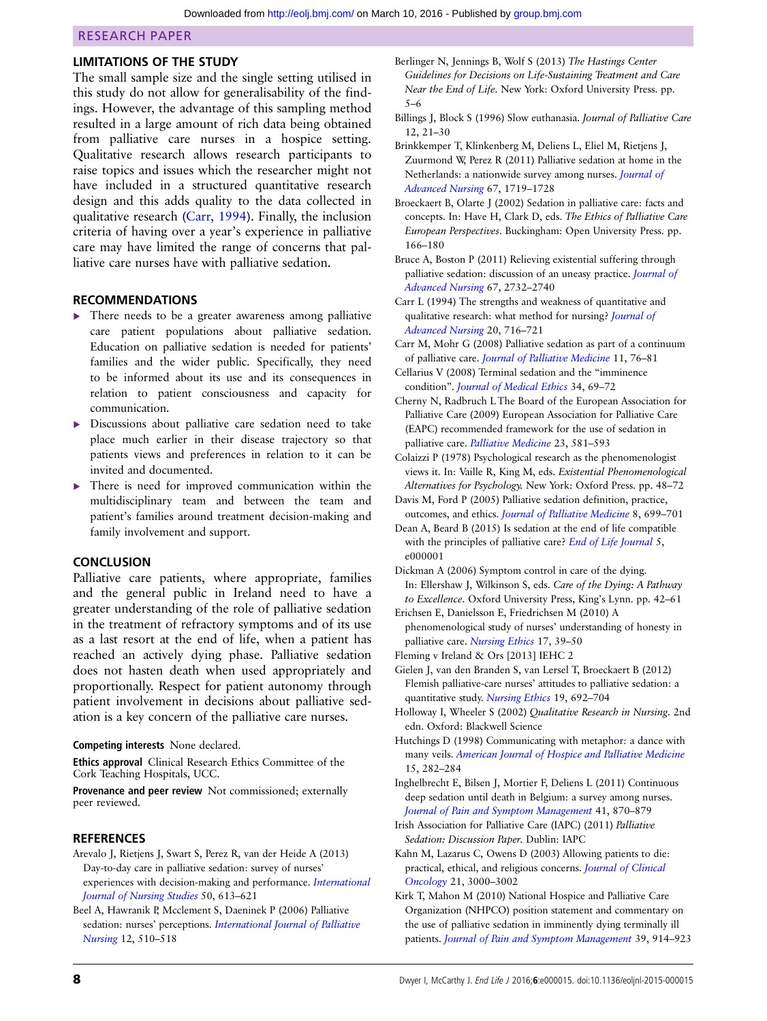#### <span id="page-8-0"></span>LIMITATIONS OF THE STUDY

The small sample size and the single setting utilised in this study do not allow for generalisability of the findings. However, the advantage of this sampling method resulted in a large amount of rich data being obtained from palliative care nurses in a hospice setting. Qualitative research allows research participants to raise topics and issues which the researcher might not have included in a structured quantitative research design and this adds quality to the data collected in qualitative research (Carr, 1994). Finally, the inclusion criteria of having over a year's experience in palliative care may have limited the range of concerns that palliative care nurses have with palliative sedation.

#### RECOMMENDATIONS

- ▸ There needs to be a greater awareness among palliative care patient populations about palliative sedation. Education on palliative sedation is needed for patients' families and the wider public. Specifically, they need to be informed about its use and its consequences in relation to patient consciousness and capacity for communication.
- ▸ Discussions about palliative care sedation need to take place much earlier in their disease trajectory so that patients views and preferences in relation to it can be invited and documented.
- There is need for improved communication within the multidisciplinary team and between the team and patient's families around treatment decision-making and family involvement and support.

#### **CONCLUSION**

Palliative care patients, where appropriate, families and the general public in Ireland need to have a greater understanding of the role of palliative sedation in the treatment of refractory symptoms and of its use as a last resort at the end of life, when a patient has reached an actively dying phase. Palliative sedation does not hasten death when used appropriately and proportionally. Respect for patient autonomy through patient involvement in decisions about palliative sedation is a key concern of the palliative care nurses.

#### Competing interests None declared.

Ethics approval Clinical Research Ethics Committee of the Cork Teaching Hospitals, UCC.

Provenance and peer review Not commissioned; externally peer reviewed.

#### REFERENCES

- Arevalo J, Rietjens J, Swart S, Perez R, van der Heide A (2013) Day-to-day care in palliative sedation: survey of nurses' experiences with decision-making and performance. [International](http://dx.doi.org/10.1016/j.ijnurstu.2012.10.004) [Journal of Nursing Studies](http://dx.doi.org/10.1016/j.ijnurstu.2012.10.004) 50, 613–621
- Beel A, Hawranik P, Mcclement S, Daeninek P (2006) Palliative sedation: nurses' perceptions. [International Journal of Palliative](http://dx.doi.org/10.12968/ijpn.2006.12.11.22398) [Nursing](http://dx.doi.org/10.12968/ijpn.2006.12.11.22398) 12, 510–518
- Berlinger N, Jennings B, Wolf S (2013) The Hastings Center Guidelines for Decisions on Life-Sustaining Treatment and Care Near the End of Life. New York: Oxford University Press. pp. 5–6
- Billings J, Block S (1996) Slow euthanasia. Journal of Palliative Care 12, 21–30
- Brinkkemper T, Klinkenberg M, Deliens L, Eliel M, Rietjens J, Zuurmond W, Perez R (2011) Palliative sedation at home in the Netherlands: a nationwide survey among nurses. [Journal of](http://dx.doi.org/10.1111/j.1365-2648.2011.05614.x) [Advanced Nursing](http://dx.doi.org/10.1111/j.1365-2648.2011.05614.x) 67, 1719–1728
- Broeckaert B, Olarte J (2002) Sedation in palliative care: facts and concepts. In: Have H, Clark D, eds. The Ethics of Palliative Care European Perspectives. Buckingham: Open University Press. pp. 166–180
- Bruce A, Boston P (2011) Relieving existential suffering through palliative sedation: discussion of an uneasy practice. [Journal of](http://dx.doi.org/10.1111/j.1365-2648.2011.05711.x) [Advanced Nursing](http://dx.doi.org/10.1111/j.1365-2648.2011.05711.x) 67, 2732–2740
- Carr L (1994) The strengths and weakness of quantitative and qualitative research: what method for nursing? [Journal of](http://dx.doi.org/10.1046/j.1365-2648.1994.20040716.x) [Advanced Nursing](http://dx.doi.org/10.1046/j.1365-2648.1994.20040716.x) 20, 716–721
- Carr M, Mohr G (2008) Palliative sedation as part of a continuum of palliative care. [Journal of Palliative Medicine](http://dx.doi.org/10.1089/jpm.2007.0100) 11, 76–81

Cellarius V (2008) Terminal sedation and the "imminence condition". [Journal of Medical Ethics](http://dx.doi.org/10.1136/jme.2006.019224) 34, 69–72

Cherny N, Radbruch L The Board of the European Association for Palliative Care (2009) European Association for Palliative Care (EAPC) recommended framework for the use of sedation in palliative care. [Palliative Medicine](http://dx.doi.org/10.1177/0269216309107024) 23, 581–593

- Colaizzi P (1978) Psychological research as the phenomenologist views it. In: Vaille R, King M, eds. Existential Phenomenological Alternatives for Psychology. New York: Oxford Press. pp. 48–72
- Davis M, Ford P (2005) Palliative sedation definition, practice, outcomes, and ethics. [Journal of Palliative Medicine](http://dx.doi.org/10.1089/jpm.2005.8.699) 8, 699–701
- Dean A, Beard B (2015) Is sedation at the end of life compatible with the principles of palliative care? [End of Life Journal](http://dx.doi.org/10.1136/eoljnl-2015-000001) 5, e000001
- Dickman A (2006) Symptom control in care of the dying. In: Ellershaw J, Wilkinson S, eds. Care of the Dying: A Pathway to Excellence. Oxford University Press, King's Lynn. pp. 42–61

Erichsen E, Danielsson E, Friedrichsen M (2010) A phenomenological study of nurses' understanding of honesty in palliative care. [Nursing Ethics](http://dx.doi.org/10.1177/0969733009350952) 17, 39-50

- Fleming v Ireland & Ors [2013] IEHC 2
- Gielen J, van den Branden S, van Lersel T, Broeckaert B (2012) Flemish palliative-care nurses' attitudes to palliative sedation: a quantitative study. [Nursing Ethics](http://dx.doi.org/10.1177/0969733011436026) 19, 692-704
- Holloway I, Wheeler S (2002) Qualitative Research in Nursing. 2nd edn. Oxford: Blackwell Science
- Hutchings D (1998) Communicating with metaphor: a dance with many veils. [American Journal of Hospice and Palliative Medicine](http://dx.doi.org/10.1177/104990919801500510) 15, 282–284

Inghelbrecht E, Bilsen J, Mortier F, Deliens L (2011) Continuous deep sedation until death in Belgium: a survey among nurses. [Journal of Pain and Symptom Management](http://dx.doi.org/10.1016/j.jpainsymman.2010.07.022) 41, 870–879

- Irish Association for Palliative Care (IAPC) (2011) Palliative Sedation: Discussion Paper. Dublin: IAPC
- Kahn M, Lazarus C, Owens D (2003) Allowing patients to die: practical, ethical, and religious concerns. [Journal of Clinical](http://dx.doi.org/10.1200/JCO.2003.01.005) [Oncology](http://dx.doi.org/10.1200/JCO.2003.01.005) 21, 3000–3002

Kirk T, Mahon M (2010) National Hospice and Palliative Care Organization (NHPCO) position statement and commentary on the use of palliative sedation in imminently dying terminally ill patients. [Journal of Pain and Symptom Management](http://dx.doi.org/10.1016/j.jpainsymman.2010.01.009) 39, 914–923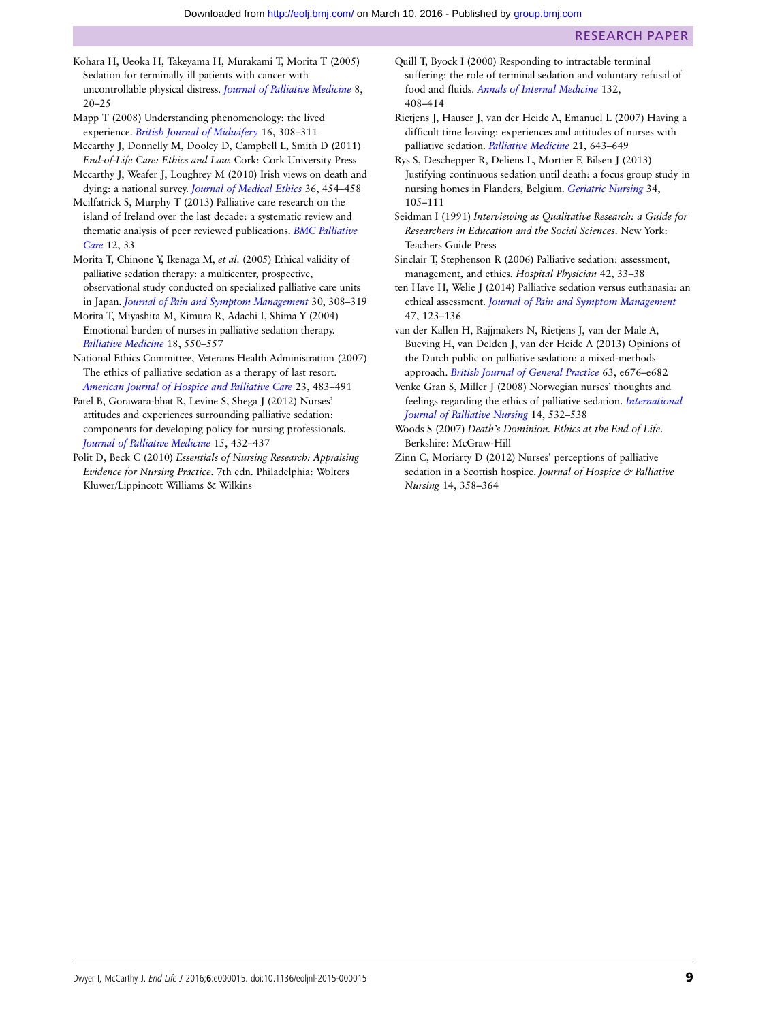- <span id="page-9-0"></span>Kohara H, Ueoka H, Takeyama H, Murakami T, Morita T (2005) Sedation for terminally ill patients with cancer with uncontrollable physical distress. [Journal of Palliative Medicine](http://dx.doi.org/10.1089/jpm.2005.8.20) 8,  $20 - 25$
- Mapp T (2008) Understanding phenomenology: the lived experience. [British Journal of Midwifery](http://dx.doi.org/10.12968/bjom.2008.16.5.29192) 16, 308–311
- Mccarthy J, Donnelly M, Dooley D, Campbell L, Smith D (2011) End-of-Life Care: Ethics and Law. Cork: Cork University Press
- Mccarthy J, Weafer J, Loughrey M (2010) Irish views on death and dying: a national survey. [Journal of Medical Ethics](http://dx.doi.org/10.1136/jme.2009.032615) 36, 454–458
- Mcilfatrick S, Murphy T (2013) Palliative care research on the island of Ireland over the last decade: a systematic review and thematic analysis of peer reviewed publications. [BMC Palliative](http://dx.doi.org/10.1186/1472-684X-12-33) [Care](http://dx.doi.org/10.1186/1472-684X-12-33) 12, 33
- Morita T, Chinone Y, Ikenaga M, et al. (2005) Ethical validity of palliative sedation therapy: a multicenter, prospective, observational study conducted on specialized palliative care units in Japan. [Journal of Pain and Symptom Management](http://dx.doi.org/10.1016/j.jpainsymman.2005.03.016) 30, 308–319
- Morita T, Miyashita M, Kimura R, Adachi I, Shima Y (2004) Emotional burden of nurses in palliative sedation therapy. [Palliative Medicine](http://dx.doi.org/10.1191/0269216304pm911oa) 18, 550–557
- National Ethics Committee, Veterans Health Administration (2007) The ethics of palliative sedation as a therapy of last resort. [American Journal of Hospice and Palliative Care](http://dx.doi.org/10.1177/1049909106294883) 23, 483–491
- Patel B, Gorawara-bhat R, Levine S, Shega J (2012) Nurses' attitudes and experiences surrounding palliative sedation: components for developing policy for nursing professionals. [Journal of Palliative Medicine](http://dx.doi.org/10.1089/jpm.2011.0336) 15, 432–437
- Polit D, Beck C (2010) Essentials of Nursing Research: Appraising Evidence for Nursing Practice. 7th edn. Philadelphia: Wolters Kluwer/Lippincott Williams & Wilkins
- Quill T, Byock I (2000) Responding to intractable terminal suffering: the role of terminal sedation and voluntary refusal of food and fluids. [Annals of Internal Medicine](http://dx.doi.org/10.7326/0003-4819-132-5-200003070-00012) 132, 408–414
- Rietjens J, Hauser J, van der Heide A, Emanuel L (2007) Having a difficult time leaving: experiences and attitudes of nurses with palliative sedation. [Palliative Medicine](http://dx.doi.org/10.1177/0269216307081186) 21, 643–649
- Rys S, Deschepper R, Deliens L, Mortier F, Bilsen J (2013) Justifying continuous sedation until death: a focus group study in nursing homes in Flanders, Belgium. [Geriatric Nursing](http://dx.doi.org/10.1016/j.gerinurse.2012.10.002) 34, 105–111
- Seidman I (1991) Interviewing as Qualitative Research: a Guide for Researchers in Education and the Social Sciences. New York: Teachers Guide Press
- Sinclair T, Stephenson R (2006) Palliative sedation: assessment, management, and ethics. Hospital Physician 42, 33–38
- ten Have H, Welie J (2014) Palliative sedation versus euthanasia: an ethical assessment. [Journal of Pain and Symptom Management](http://dx.doi.org/10.1016/j.jpainsymman.2013.03.008) 47, 123–136
- van der Kallen H, Rajjmakers N, Rietjens J, van der Male A, Bueving H, van Delden J, van der Heide A (2013) Opinions of the Dutch public on palliative sedation: a mixed-methods approach. [British Journal of General Practice](http://dx.doi.org/10.3399/bjgp13X673685) 63, e676–e682
- Venke Gran S, Miller J (2008) Norwegian nurses' thoughts and feelings regarding the ethics of palliative sedation. [International](http://dx.doi.org/10.12968/ijpn.2008.14.11.31757) [Journal of Palliative Nursing](http://dx.doi.org/10.12968/ijpn.2008.14.11.31757) 14, 532–538
- Woods S (2007) Death's Dominion. Ethics at the End of Life. Berkshire: McGraw-Hill
- Zinn C, Moriarty D (2012) Nurses' perceptions of palliative sedation in a Scottish hospice. Journal of Hospice & Palliative Nursing 14, 358–364